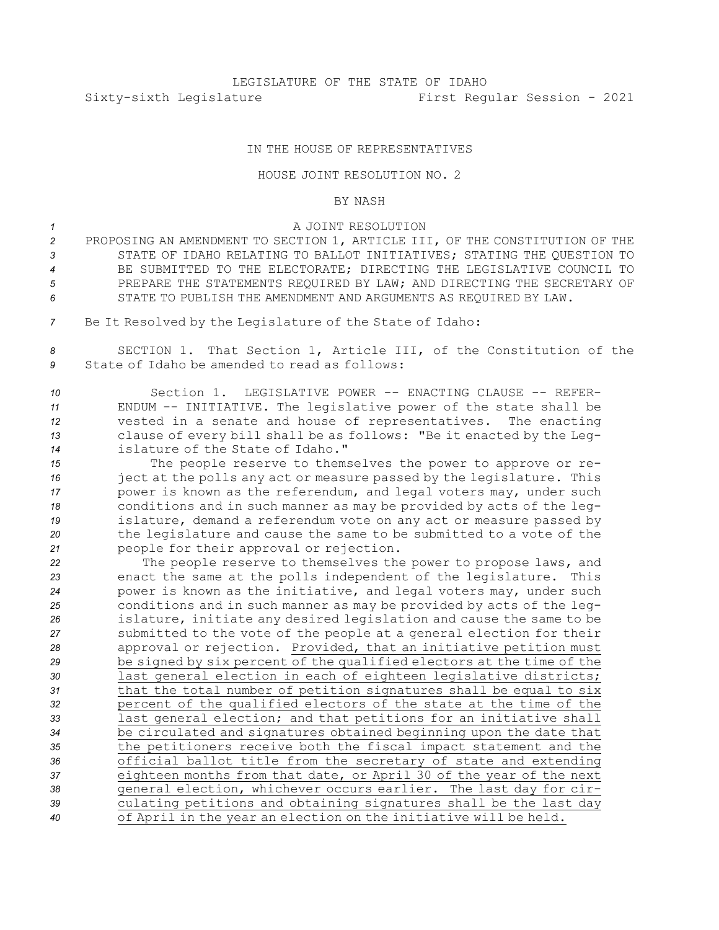## IN THE HOUSE OF REPRESENTATIVES

## HOUSE JOINT RESOLUTION NO. 2

## BY NASH

## *1* A JOINT RESOLUTION

- *<sup>2</sup>* PROPOSING AN AMENDMENT TO SECTION 1, ARTICLE III, OF THE CONSTITUTION OF THE *3* STATE OF IDAHO RELATING TO BALLOT INITIATIVES; STATING THE QUESTION TO *4* BE SUBMITTED TO THE ELECTORATE; DIRECTING THE LEGISLATIVE COUNCIL TO *5* PREPARE THE STATEMENTS REQUIRED BY LAW; AND DIRECTING THE SECRETARY OF *6* STATE TO PUBLISH THE AMENDMENT AND ARGUMENTS AS REQUIRED BY LAW.
- *<sup>7</sup>* Be It Resolved by the Legislature of the State of Idaho:

*<sup>8</sup>* SECTION 1. That Section 1, Article III, of the Constitution of the *9* State of Idaho be amended to read as follows:

 Section 1. LEGISLATIVE POWER -- ENACTING CLAUSE -- REFER- ENDUM -- INITIATIVE. The legislative power of the state shall be vested in <sup>a</sup> senate and house of representatives. The enacting clause of every bill shall be as follows: "Be it enacted by the Leg-islature of the State of Idaho."

 The people reserve to themselves the power to approve or re- ject at the polls any act or measure passed by the legislature. This power is known as the referendum, and legal voters may, under such conditions and in such manner as may be provided by acts of the leg- islature, demand <sup>a</sup> referendum vote on any act or measure passed by the legislature and cause the same to be submitted to <sup>a</sup> vote of the people for their approval or rejection.

 The people reserve to themselves the power to propose laws, and enact the same at the polls independent of the legislature. This power is known as the initiative, and legal voters may, under such conditions and in such manner as may be provided by acts of the leg- islature, initiate any desired legislation and cause the same to be submitted to the vote of the people at <sup>a</sup> general election for their approval or rejection. Provided, that an initiative petition must be signed by six percent of the qualified electors at the time of the last general election in each of eighteen legislative districts; that the total number of petition signatures shall be equal to six percent of the qualified electors of the state at the time of the last general election; and that petitions for an initiative shall be circulated and signatures obtained beginning upon the date that the petitioners receive both the fiscal impact statement and the official ballot title from the secretary of state and extending eighteen months from that date, or April 30 of the year of the next general election, whichever occurs earlier. The last day for cir- culating petitions and obtaining signatures shall be the last day of April in the year an election on the initiative will be held.